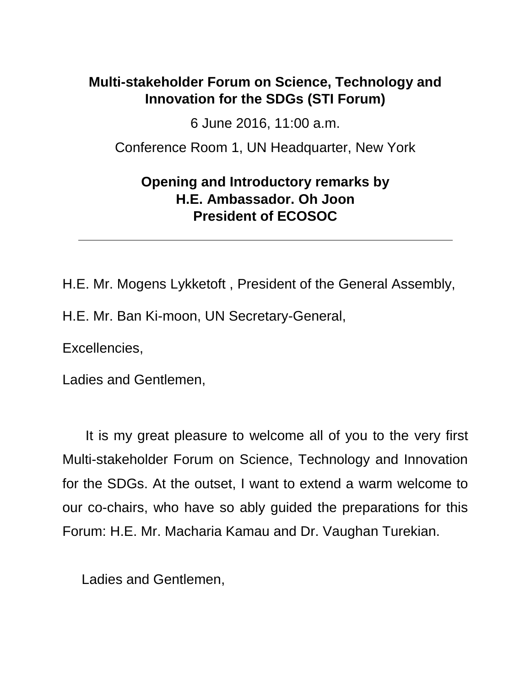## **Multi-stakeholder Forum on Science, Technology and Innovation for the SDGs (STI Forum)**

6 June 2016, 11:00 a.m.

Conference Room 1, UN Headquarter, New York

## **Opening and Introductory remarks by H.E. Ambassador. Oh Joon President of ECOSOC**

H.E. Mr. Mogens Lykketoft , President of the General Assembly, H.E. Mr. Ban Ki-moon, UN Secretary-General,

Excellencies,

Ladies and Gentlemen,

 It is my great pleasure to welcome all of you to the very first Multi-stakeholder Forum on Science, Technology and Innovation for the SDGs. At the outset, I want to extend a warm welcome to our co-chairs, who have so ably guided the preparations for this Forum: H.E. Mr. Macharia Kamau and Dr. Vaughan Turekian.

Ladies and Gentlemen,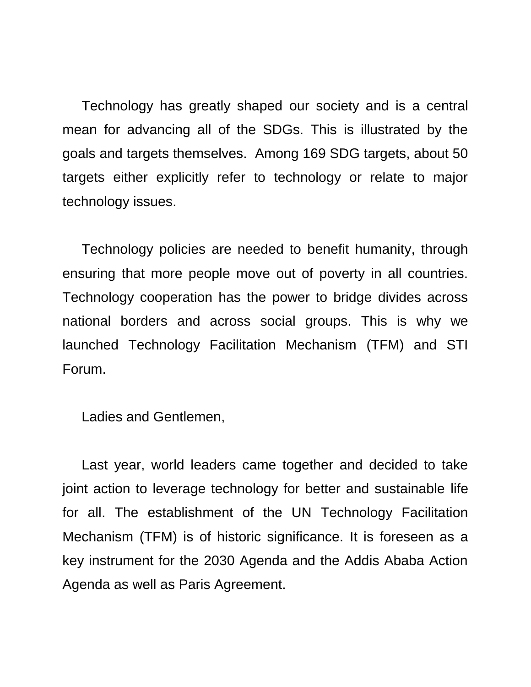Technology has greatly shaped our society and is a central mean for advancing all of the SDGs. This is illustrated by the goals and targets themselves. Among 169 SDG targets, about 50 targets either explicitly refer to technology or relate to major technology issues.

 Technology policies are needed to benefit humanity, through ensuring that more people move out of poverty in all countries. Technology cooperation has the power to bridge divides across national borders and across social groups. This is why we launched Technology Facilitation Mechanism (TFM) and STI Forum.

Ladies and Gentlemen,

 Last year, world leaders came together and decided to take joint action to leverage technology for better and sustainable life for all. The establishment of the UN Technology Facilitation Mechanism (TFM) is of historic significance. It is foreseen as a key instrument for the 2030 Agenda and the Addis Ababa Action Agenda as well as Paris Agreement.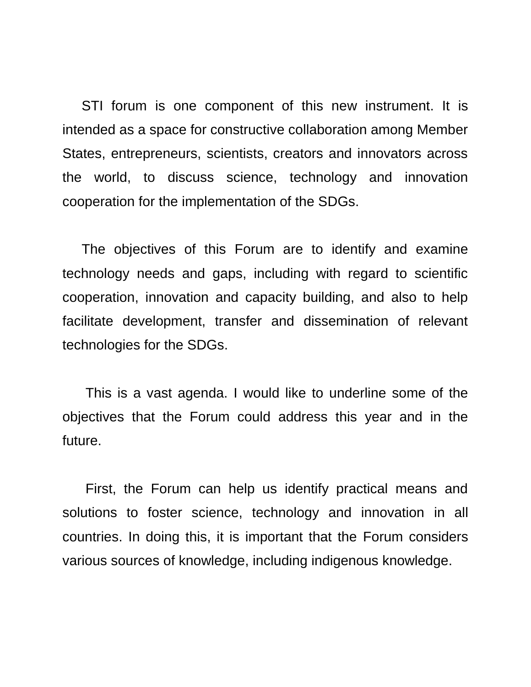STI forum is one component of this new instrument. It is intended as a space for constructive collaboration among Member States, entrepreneurs, scientists, creators and innovators across the world, to discuss science, technology and innovation cooperation for the implementation of the SDGs.

 The objectives of this Forum are to identify and examine technology needs and gaps, including with regard to scientific cooperation, innovation and capacity building, and also to help facilitate development, transfer and dissemination of relevant technologies for the SDGs.

 This is a vast agenda. I would like to underline some of the objectives that the Forum could address this year and in the future.

 First, the Forum can help us identify practical means and solutions to foster science, technology and innovation in all countries. In doing this, it is important that the Forum considers various sources of knowledge, including indigenous knowledge.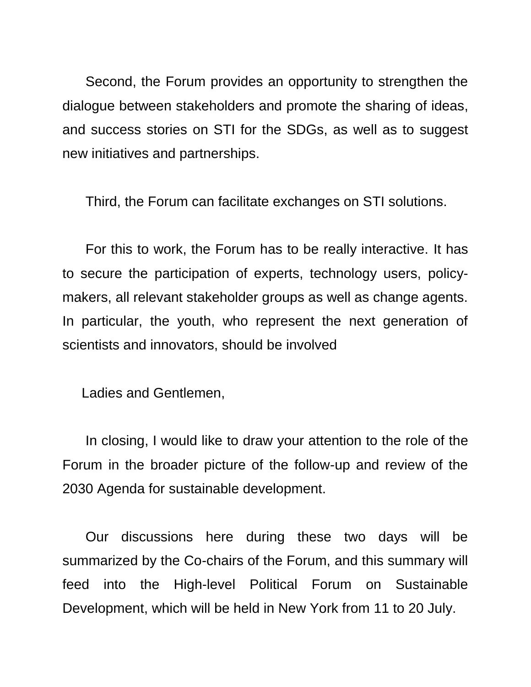Second, the Forum provides an opportunity to strengthen the dialogue between stakeholders and promote the sharing of ideas, and success stories on STI for the SDGs, as well as to suggest new initiatives and partnerships.

Third, the Forum can facilitate exchanges on STI solutions.

 For this to work, the Forum has to be really interactive. It has to secure the participation of experts, technology users, policymakers, all relevant stakeholder groups as well as change agents. In particular, the youth, who represent the next generation of scientists and innovators, should be involved

Ladies and Gentlemen,

 In closing, I would like to draw your attention to the role of the Forum in the broader picture of the follow-up and review of the 2030 Agenda for sustainable development.

 Our discussions here during these two days will be summarized by the Co-chairs of the Forum, and this summary will feed into the High-level Political Forum on Sustainable Development, which will be held in New York from 11 to 20 July.